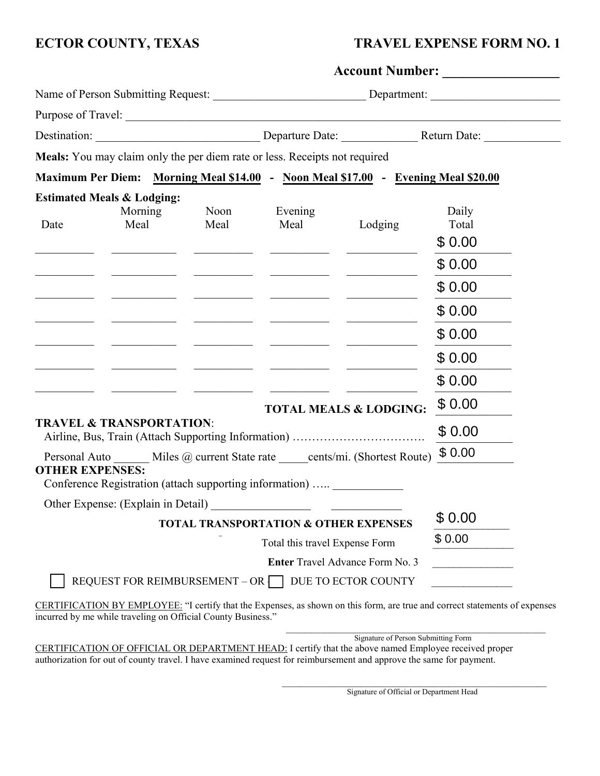# **ECTOR COUNTY, TEXAS TRAVEL EXPENSE FORM NO. 1**

|                                                                                   |                                                                            |                                  | Account Number:                                                                                                                                                                                                                      |                                                                                                                                                                                                                                      |                |  |  |
|-----------------------------------------------------------------------------------|----------------------------------------------------------------------------|----------------------------------|--------------------------------------------------------------------------------------------------------------------------------------------------------------------------------------------------------------------------------------|--------------------------------------------------------------------------------------------------------------------------------------------------------------------------------------------------------------------------------------|----------------|--|--|
|                                                                                   |                                                                            |                                  |                                                                                                                                                                                                                                      | Name of Person Submitting Request: _________________________________Department: ______________________________                                                                                                                       |                |  |  |
|                                                                                   |                                                                            |                                  |                                                                                                                                                                                                                                      |                                                                                                                                                                                                                                      |                |  |  |
|                                                                                   |                                                                            |                                  |                                                                                                                                                                                                                                      |                                                                                                                                                                                                                                      |                |  |  |
|                                                                                   | Meals: You may claim only the per diem rate or less. Receipts not required |                                  |                                                                                                                                                                                                                                      |                                                                                                                                                                                                                                      |                |  |  |
|                                                                                   |                                                                            |                                  |                                                                                                                                                                                                                                      | Maximum Per Diem: Morning Meal \$14.00 - Noon Meal \$17.00 - Evening Meal \$20.00                                                                                                                                                    |                |  |  |
|                                                                                   | <b>Estimated Meals &amp; Lodging:</b>                                      |                                  |                                                                                                                                                                                                                                      |                                                                                                                                                                                                                                      |                |  |  |
| Date                                                                              | Morning<br>Meal                                                            | Noon<br>Meal                     | Evening<br>Meal                                                                                                                                                                                                                      | Lodging                                                                                                                                                                                                                              | Daily<br>Total |  |  |
|                                                                                   |                                                                            |                                  |                                                                                                                                                                                                                                      |                                                                                                                                                                                                                                      | \$0.00         |  |  |
|                                                                                   |                                                                            |                                  | <u> Liston de la componenta</u>                                                                                                                                                                                                      |                                                                                                                                                                                                                                      | \$0.00         |  |  |
|                                                                                   |                                                                            |                                  | <u> 1990 - John Harry Harry House, ameri</u> kan                                                                                                                                                                                     |                                                                                                                                                                                                                                      | \$0.00         |  |  |
|                                                                                   |                                                                            | <u> The Common School (1989)</u> | <u> 1990 - Johann Harry Harry House, american provision and the contract of the contract of the contract of the contract of the contract of the contract of the contract of the contract of the contract of the contract of the </u> |                                                                                                                                                                                                                                      | \$0.00         |  |  |
|                                                                                   |                                                                            |                                  | the company of the company of the                                                                                                                                                                                                    |                                                                                                                                                                                                                                      | \$0.00         |  |  |
|                                                                                   |                                                                            |                                  | <u> 1980 - Johann John Stein, market francuski filozof (</u>                                                                                                                                                                         | <u>and the community of the community of the community of the community of the community of the community of the community of the community of the community of the community of the community of the community of the community</u> | \$0.00         |  |  |
|                                                                                   |                                                                            |                                  |                                                                                                                                                                                                                                      |                                                                                                                                                                                                                                      | \$0.00         |  |  |
|                                                                                   |                                                                            |                                  |                                                                                                                                                                                                                                      | <b>TOTAL MEALS &amp; LODGING:</b>                                                                                                                                                                                                    | \$0.00         |  |  |
|                                                                                   | <b>TRAVEL &amp; TRANSPORTATION:</b>                                        |                                  |                                                                                                                                                                                                                                      |                                                                                                                                                                                                                                      | \$0.00         |  |  |
| Personal Auto Miles @ current State rate _____ cents/mi. (Shortest Route) \$ 0.00 |                                                                            |                                  |                                                                                                                                                                                                                                      |                                                                                                                                                                                                                                      |                |  |  |
| <b>OTHER EXPENSES:</b>                                                            | Conference Registration (attach supporting information)  ____________      |                                  |                                                                                                                                                                                                                                      |                                                                                                                                                                                                                                      |                |  |  |
|                                                                                   | Other Expense: (Explain in Detail)                                         |                                  |                                                                                                                                                                                                                                      |                                                                                                                                                                                                                                      |                |  |  |
| <b>TOTAL TRANSPORTATION &amp; OTHER EXPENSES</b>                                  |                                                                            |                                  |                                                                                                                                                                                                                                      |                                                                                                                                                                                                                                      | \$0.00         |  |  |
| Total this travel Expense Form                                                    |                                                                            |                                  |                                                                                                                                                                                                                                      |                                                                                                                                                                                                                                      | \$0.00         |  |  |
|                                                                                   |                                                                            |                                  |                                                                                                                                                                                                                                      | Enter Travel Advance Form No. 3                                                                                                                                                                                                      |                |  |  |
|                                                                                   | REQUEST FOR REIMBURSEMENT - OR DUE TO ECTOR COUNTY                         |                                  |                                                                                                                                                                                                                                      |                                                                                                                                                                                                                                      |                |  |  |
|                                                                                   |                                                                            |                                  |                                                                                                                                                                                                                                      |                                                                                                                                                                                                                                      |                |  |  |

CERTIFICATION BY EMPLOYEE: "I certify that the Expenses, as shown on this form, are true and correct statements of expenses incurred by me while traveling on Official County Business."

Signature of Person Submitting Form CERTIFICATION OF OFFICIAL OR DEPARTMENT HEAD: I certify that the above named Employee received proper authorization for out of county travel. I have examined request for reimbursement and approve the same for payment.

> \_\_\_\_\_\_\_\_\_\_\_\_\_\_\_\_\_\_\_\_\_\_\_\_\_\_\_\_\_\_\_\_\_\_\_\_\_\_\_\_\_\_\_\_\_\_\_\_\_\_\_\_\_\_ Signature of Official or Department Head

 $\mathcal{L}_\text{max}$  , and the set of the set of the set of the set of the set of the set of the set of the set of the set of the set of the set of the set of the set of the set of the set of the set of the set of the set of the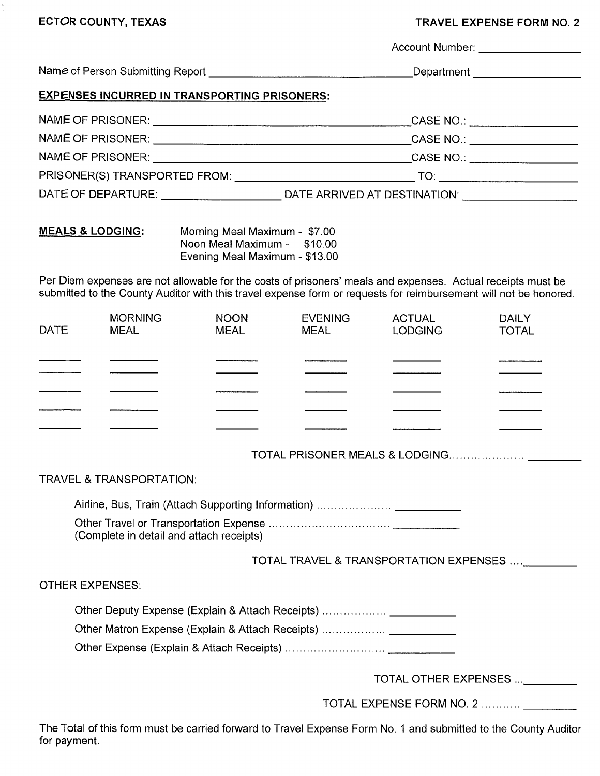## **TRAVEL EXPENSE FORM NO. 2**

|             |                                                                                                                               |                                                                                                                                                                                                                                 |                               | Account Number: __________________ |                       |  |
|-------------|-------------------------------------------------------------------------------------------------------------------------------|---------------------------------------------------------------------------------------------------------------------------------------------------------------------------------------------------------------------------------|-------------------------------|------------------------------------|-----------------------|--|
|             |                                                                                                                               |                                                                                                                                                                                                                                 |                               |                                    |                       |  |
|             |                                                                                                                               | <b>EXPENSES INCURRED IN TRANSPORTING PRISONERS:</b>                                                                                                                                                                             |                               |                                    |                       |  |
|             |                                                                                                                               |                                                                                                                                                                                                                                 |                               |                                    |                       |  |
|             |                                                                                                                               |                                                                                                                                                                                                                                 |                               |                                    |                       |  |
|             |                                                                                                                               |                                                                                                                                                                                                                                 |                               |                                    |                       |  |
|             |                                                                                                                               |                                                                                                                                                                                                                                 |                               |                                    |                       |  |
|             |                                                                                                                               |                                                                                                                                                                                                                                 |                               |                                    |                       |  |
|             | <b>MEALS &amp; LODGING:</b><br>Morning Meal Maximum - \$7.00<br>Noon Meal Maximum - \$10.00<br>Evening Meal Maximum - \$13.00 |                                                                                                                                                                                                                                 |                               |                                    |                       |  |
|             |                                                                                                                               | Per Diem expenses are not allowable for the costs of prisoners' meals and expenses. Actual receipts must be<br>submitted to the County Auditor with this travel expense form or requests for reimbursement will not be honored. |                               |                                    |                       |  |
| <b>DATE</b> | <b>MORNING</b><br>MEAL                                                                                                        | <b>NOON</b><br><b>MEAL</b>                                                                                                                                                                                                      | <b>EVENING</b><br><b>MEAL</b> | <b>ACTUAL</b><br><b>LODGING</b>    | DAILY<br><b>TOTAL</b> |  |
|             |                                                                                                                               |                                                                                                                                                                                                                                 |                               |                                    |                       |  |
|             |                                                                                                                               |                                                                                                                                                                                                                                 |                               |                                    |                       |  |

### **TRAVEL & TRANSPORTATION:**

(Complete in detail and attach receipts)

TOTAL TRAVEL & TRANSPORTATION EXPENSES .... \_\_\_\_\_\_\_\_\_

**OTHER EXPENSES:** 

| Other Deputy Expense (Explain & Attach Receipts) |  |
|--------------------------------------------------|--|
| Other Matron Expense (Explain & Attach Receipts) |  |

TOTAL OTHER EXPENSES ... \_\_\_\_\_\_\_\_

TOTAL EXPENSE FORM NO. 2 ..........  $\mathcal{L}^{\text{max}}$ 

The Total of this form must be carried forward to Travel Expense Form No. 1 and submitted to the County Auditor for payment.